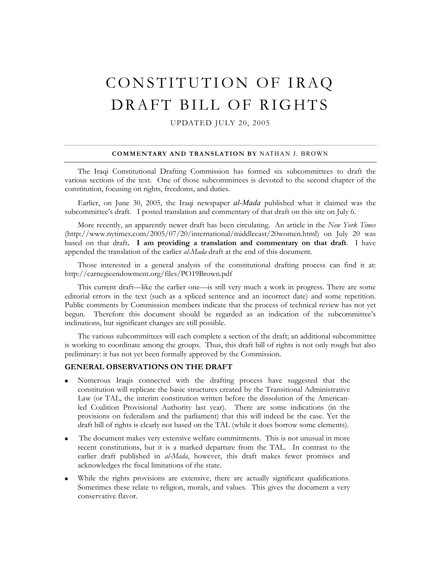# CONSTITUTION OF IRAQ DRAFT BILL OF RIGHTS

UPDATED JULY 20, 2005

#### **COMMENTARY AND TRANSLATION BY** NATHAN J. BROWN

The Iraqi Constitutional Drafting Commission has formed six subcommittees to draft the various sections of the text. One of those subcommittees is devoted to the second chapter of the constitution, focusing on rights, freedoms, and duties.

Earlier, on June 30, 2005, the Iraqi newspaper *al-Mada* published what it claimed was the subcommittee's draft. I posted translation and commentary of that draft on this site on July 6.

More recently, an apparently newer draft has been circulating. An article in the *New York Times* (http://www.nytimes.com/2005/07/20/international/middleeast/20women.html) on July 20 was based on that draft**. I am providing a translation and commentary on that draft**. I have appended the translation of the earlier *al-Mada* draft at the end of this document.

Those interested in a general analysis of the constitutional drafting process can find it at: http://carnegieendowment.org/files/PO19Brown.pdf

This current draft—like the earlier one—is still very much a work in progress. There are some editorial errors in the text (such as a spliced sentence and an incorrect date) and some repetition. Public comments by Commission members indicate that the process of technical review has not yet begun. Therefore this document should be regarded as an indication of the subcommittee's inclinations, but significant changes are still possible.

The various subcommittees will each complete a section of the draft; an additional subcommittee is working to coordinate among the groups. Thus, this draft bill of rights is not only rough but also preliminary: it has not yet been formally approved by the Commission.

## **GENERAL OBSERVATIONS ON THE DRAFT**

- Numerous Iraqis connected with the drafting process have suggested that the constitution will replicate the basic structures created by the Transitional Administrative Law (or TAL, the interim constitution written before the dissolution of the Americanled Coalition Provisional Authority last year). There are some indications (in the provisions on federalism and the parliament) that this will indeed be the case. Yet the draft bill of rights is clearly not based on the TAL (while it does borrow some elements).
- The document makes very extensive welfare commitments. This is not unusual in more recent constitutions, but it is a marked departure from the TAL. In contrast to the earlier draft published in *al-Mada*, however, this draft makes fewer promises and acknowledges the fiscal limitations of the state.
- While the rights provisions are extensive, there are actually significant qualifications. Sometimes these relate to religion, morals, and values. This gives the document a very conservative flavor.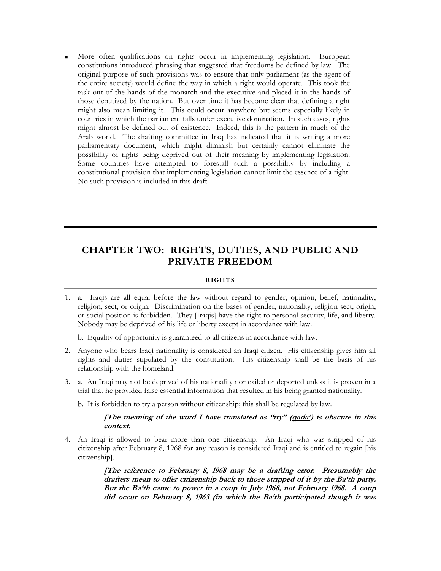More often qualifications on rights occur in implementing legislation. European constitutions introduced phrasing that suggested that freedoms be defined by law. The original purpose of such provisions was to ensure that only parliament (as the agent of the entire society) would define the way in which a right would operate. This took the task out of the hands of the monarch and the executive and placed it in the hands of those deputized by the nation. But over time it has become clear that defining a right might also mean limiting it. This could occur anywhere but seems especially likely in countries in which the parliament falls under executive domination. In such cases, rights might almost be defined out of existence. Indeed, this is the pattern in much of the Arab world. The drafting committee in Iraq has indicated that it is writing a more parliamentary document, which might diminish but certainly cannot eliminate the possibility of rights being deprived out of their meaning by implementing legislation. Some countries have attempted to forestall such a possibility by including a constitutional provision that implementing legislation cannot limit the essence of a right. No such provision is included in this draft.

# **CHAPTER TWO: RIGHTS, DUTIES, AND PUBLIC AND PRIVATE FREEDOM**

## **RIGHTS**

1. a. Iraqis are all equal before the law without regard to gender, opinion, belief, nationality, religion, sect, or origin. Discrimination on the bases of gender, nationality, religion sect, origin, or social position is forbidden. They [Iraqis] have the right to personal security, life, and liberty. Nobody may be deprived of his life or liberty except in accordance with law.

b. Equality of opportunity is guaranteed to all citizens in accordance with law.

- 2. Anyone who bears Iraqi nationality is considered an Iraqi citizen. His citizenship gives him all rights and duties stipulated by the constitution. His citizenship shall be the basis of his relationship with the homeland.
- 3. a. An Iraqi may not be deprived of his nationality nor exiled or deported unless it is proven in a trial that he provided false essential information that resulted in his being granted nationality.
	- b. It is forbidden to try a person without citizenship; this shall be regulated by law.

## **[The meaning of the word I have translated as "try" (qada') is obscure in this context.**

4. An Iraqi is allowed to bear more than one citizenship. An Iraqi who was stripped of his citizenship after February 8, 1968 for any reason is considered Iraqi and is entitled to regain [his citizenship].

> **[The reference to February 8, 1968 may be a drafting error. Presumably the drafters mean to offer citizenship back to those stripped of it by the Ba'th party. But the Ba'th came to power in a coup in July 1968, not February 1968. A coup did occur on February 8, 1963 (in which the Ba'th participated though it was**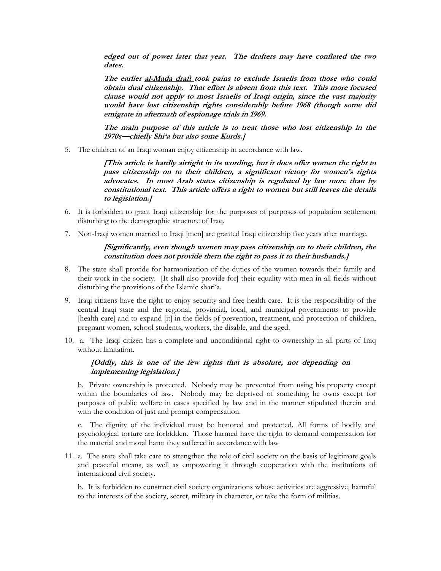**edged out of power later that year. The drafters may have conflated the two dates.** 

**The earlier al-Mada draft took pains to exclude Israelis from those who could obtain dual citizenship. That effort is absent from this text. This more focused clause would not apply to most Israelis of Iraqi origin, since the vast majority would have lost citizenship rights considerably before 1968 (though some did emigrate in aftermath of espionage trials in 1969.** 

**The main purpose of this article is to treat those who lost citizenship in the 1970s—chiefly Shi'a but also some Kurds.]** 

5. The children of an Iraqi woman enjoy citizenship in accordance with law.

**[This article is hardly airtight in its wording, but it does offer women the right to pass citizenship on to their children, a significant victory for women's rights advocates. In most Arab states citizenship is regulated by law more than by constitutional text. This article offers a right to women but still leaves the details to legislation.]** 

- 6. It is forbidden to grant Iraqi citizenship for the purposes of purposes of population settlement disturbing to the demographic structure of Iraq.
- 7. Non-Iraqi women married to Iraqi [men] are granted Iraqi citizenship five years after marriage.

## **[Significantly, even though women may pass citizenship on to their children, the constitution does not provide them the right to pass it to their husbands.]**

- 8. The state shall provide for harmonization of the duties of the women towards their family and their work in the society. [It shall also provide for] their equality with men in all fields without disturbing the provisions of the Islamic shari'a.
- 9. Iraqi citizens have the right to enjoy security and free health care. It is the responsibility of the central Iraqi state and the regional, provincial, local, and municipal governments to provide [health care] and to expand [it] in the fields of prevention, treatment, and protection of children, pregnant women, school students, workers, the disable, and the aged.
- 10. a. The Iraqi citizen has a complete and unconditional right to ownership in all parts of Iraq without limitation.

# **[Oddly, this is one of the few rights that is absolute, not depending on implementing legislation.]**

b. Private ownership is protected. Nobody may be prevented from using his property except within the boundaries of law. Nobody may be deprived of something he owns except for purposes of public welfare in cases specified by law and in the manner stipulated therein and with the condition of just and prompt compensation.

c. The dignity of the individual must be honored and protected. All forms of bodily and psychological torture are forbidden. Those harmed have the right to demand compensation for the material and moral harm they suffered in accordance with law

11. a. The state shall take care to strengthen the role of civil society on the basis of legitimate goals and peaceful means, as well as empowering it through cooperation with the institutions of international civil society.

b. It is forbidden to construct civil society organizations whose activities are aggressive, harmful to the interests of the society, secret, military in character, or take the form of militias.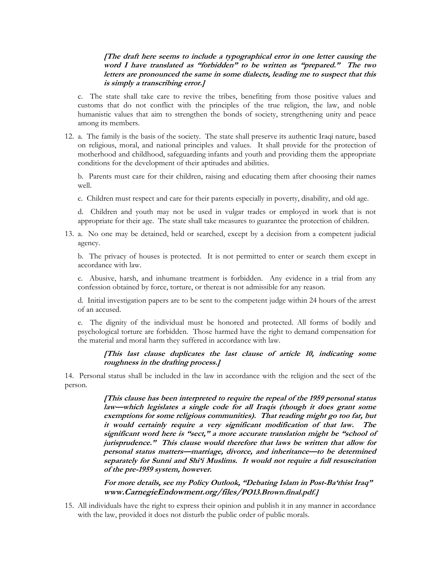# **[The draft here seems to include a typographical error in one letter causing the word I have translated as "forbidden" to be written as "prepared." The two letters are pronounced the same in some dialects, leading me to suspect that this is simply a transcribing error.]**

c. The state shall take care to revive the tribes, benefiting from those positive values and customs that do not conflict with the principles of the true religion, the law, and noble humanistic values that aim to strengthen the bonds of society, strengthening unity and peace among its members.

12. a. The family is the basis of the society. The state shall preserve its authentic Iraqi nature, based on religious, moral, and national principles and values. It shall provide for the protection of motherhood and childhood, safeguarding infants and youth and providing them the appropriate conditions for the development of their aptitudes and abilities.

b. Parents must care for their children, raising and educating them after choosing their names well.

c. Children must respect and care for their parents especially in poverty, disability, and old age.

d. Children and youth may not be used in vulgar trades or employed in work that is not appropriate for their age. The state shall take measures to guarantee the protection of children.

13. a. No one may be detained, held or searched, except by a decision from a competent judicial agency.

b. The privacy of houses is protected. It is not permitted to enter or search them except in accordance with law.

c. Abusive, harsh, and inhumane treatment is forbidden. Any evidence in a trial from any confession obtained by force, torture, or thereat is not admissible for any reason.

d. Initial investigation papers are to be sent to the competent judge within 24 hours of the arrest of an accused.

e. The dignity of the individual must be honored and protected. All forms of bodily and psychological torture are forbidden. Those harmed have the right to demand compensation for the material and moral harm they suffered in accordance with law.

## **[This last clause duplicates the last clause of article 10, indicating some roughness in the drafting process.]**

14. Personal status shall be included in the law in accordance with the religion and the sect of the person.

> **[This clause has been interpreted to require the repeal of the 1959 personal status law—which legislates a single code for all Iraqis (though it does grant some exemptions for some religious communities). That reading might go too far, but it would certainly require a very significant modification of that law. The significant word here is "sect," a more accurate translation might be "school of jurisprudence." This clause would therefore that laws be written that allow for personal status matters—marriage, divorce, and inheritance—to be determined separately for Sunni and Shi'i Muslims. It would not require a full resuscitation of the pre-1959 system, however.**

**For more details, see my Policy Outlook, "Debating Islam in Post-Ba'thist Iraq" www.CarnegieEndowment.org/files/PO13.Brown.final.pdf.]**

15. All individuals have the right to express their opinion and publish it in any manner in accordance with the law, provided it does not disturb the public order of public morals.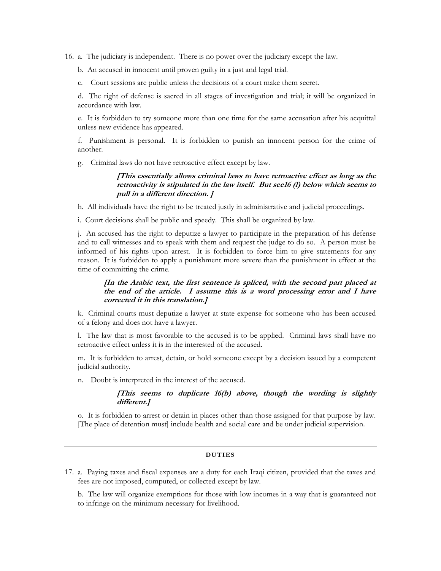16. a. The judiciary is independent. There is no power over the judiciary except the law.

b. An accused in innocent until proven guilty in a just and legal trial.

c. Court sessions are public unless the decisions of a court make them secret.

d. The right of defense is sacred in all stages of investigation and trial; it will be organized in accordance with law.

e. It is forbidden to try someone more than one time for the same accusation after his acquittal unless new evidence has appeared.

f. Punishment is personal. It is forbidden to punish an innocent person for the crime of another.

g. Criminal laws do not have retroactive effect except by law.

# **[This essentially allows criminal laws to have retroactive effect as long as the retroactivity is stipulated in the law itself. But see16 (l) below which seems to pull in a different direction. ]**

h. All individuals have the right to be treated justly in administrative and judicial proceedings.

i. Court decisions shall be public and speedy. This shall be organized by law.

j. An accused has the right to deputize a lawyer to participate in the preparation of his defense and to call witnesses and to speak with them and request the judge to do so. A person must be informed of his rights upon arrest. It is forbidden to force him to give statements for any reason. It is forbidden to apply a punishment more severe than the punishment in effect at the time of committing the crime.

# **[In the Arabic text, the first sentence is spliced, with the second part placed at the end of the article. I assume this is a word processing error and I have corrected it in this translation.]**

k. Criminal courts must deputize a lawyer at state expense for someone who has been accused of a felony and does not have a lawyer.

l. The law that is most favorable to the accused is to be applied. Criminal laws shall have no retroactive effect unless it is in the interested of the accused.

m. It is forbidden to arrest, detain, or hold someone except by a decision issued by a competent judicial authority.

n. Doubt is interpreted in the interest of the accused.

# **[This seems to duplicate 16(b) above, though the wording is slightly different.]**

o. It is forbidden to arrest or detain in places other than those assigned for that purpose by law. [The place of detention must] include health and social care and be under judicial supervision.

### **DUTIES**

17. a. Paying taxes and fiscal expenses are a duty for each Iraqi citizen, provided that the taxes and fees are not imposed, computed, or collected except by law.

b. The law will organize exemptions for those with low incomes in a way that is guaranteed not to infringe on the minimum necessary for livelihood.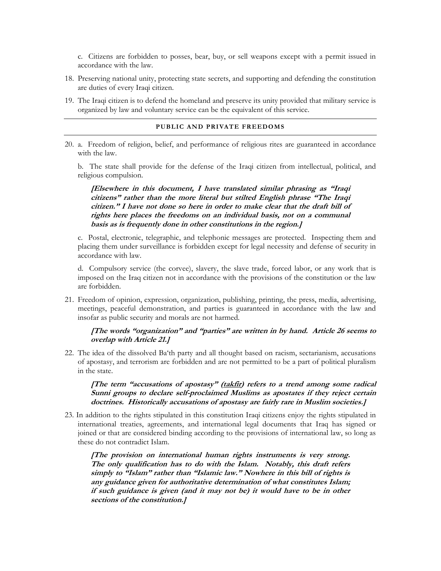c. Citizens are forbidden to posses, bear, buy, or sell weapons except with a permit issued in accordance with the law.

- 18. Preserving national unity, protecting state secrets, and supporting and defending the constitution are duties of every Iraqi citizen.
- 19. The Iraqi citizen is to defend the homeland and preserve its unity provided that military service is organized by law and voluntary service can be the equivalent of this service.

#### **PUBLIC AND PRIVATE FREEDOMS**

20. a. Freedom of religion, belief, and performance of religious rites are guaranteed in accordance with the law.

b. The state shall provide for the defense of the Iraqi citizen from intellectual, political, and religious compulsion.

**[Elsewhere in this document, I have translated similar phrasing as "Iraqi citizens" rather than the more literal but stilted English phrase "The Iraqi citizen." I have not done so here in order to make clear that the draft bill of rights here places the freedoms on an individual basis, not on a communal basis as is frequently done in other constitutions in the region.]** 

c. Postal, electronic, telegraphic, and telephonic messages are protected. Inspecting them and placing them under surveillance is forbidden except for legal necessity and defense of security in accordance with law.

d. Compulsory service (the corvee), slavery, the slave trade, forced labor, or any work that is imposed on the Iraq citizen not in accordance with the provisions of the constitution or the law are forbidden.

21. Freedom of opinion, expression, organization, publishing, printing, the press, media, advertising, meetings, peaceful demonstration, and parties is guaranteed in accordance with the law and insofar as public security and morals are not harmed.

## **[The words "organization" and "parties" are written in by hand. Article 26 seems to overlap with Article 21.]**

22. The idea of the dissolved Ba'th party and all thought based on racism, sectarianism, accusations of apostasy, and terrorism are forbidden and are not permitted to be a part of political pluralism in the state.

**[The term "accusations of apostasy" (takfir) refers to a trend among some radical Sunni groups to declare self-proclaimed Muslims as apostates if they reject certain doctrines. Historically accusations of apostasy are fairly rare in Muslim societies.]** 

23. In addition to the rights stipulated in this constitution Iraqi citizens enjoy the rights stipulated in international treaties, agreements, and international legal documents that Iraq has signed or joined or that are considered binding according to the provisions of international law, so long as these do not contradict Islam.

**[The provision on international human rights instruments is very strong. The only qualification has to do with the Islam. Notably, this draft refers simply to "Islam" rather than "Islamic law." Nowhere in this bill of rights is any guidance given for authoritative determination of what constitutes Islam; if such guidance is given (and it may not be) it would have to be in other sections of the constitution.]**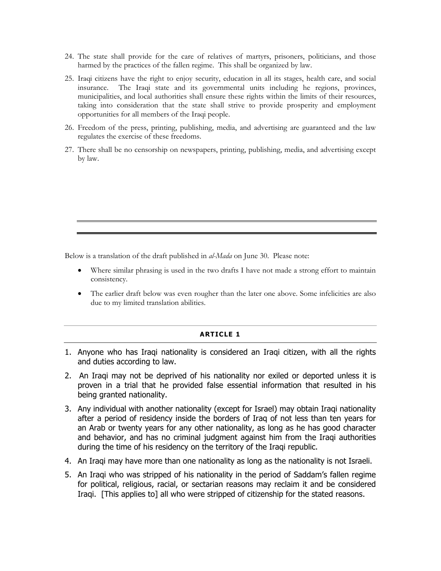- 24. The state shall provide for the care of relatives of martyrs, prisoners, politicians, and those harmed by the practices of the fallen regime. This shall be organized by law.
- 25. Iraqi citizens have the right to enjoy security, education in all its stages, health care, and social insurance. The Iraqi state and its governmental units including he regions, provinces, municipalities, and local authorities shall ensure these rights within the limits of their resources, taking into consideration that the state shall strive to provide prosperity and employment opportunities for all members of the Iraqi people.
- 26. Freedom of the press, printing, publishing, media, and advertising are guaranteed and the law regulates the exercise of these freedoms.
- 27. There shall be no censorship on newspapers, printing, publishing, media, and advertising except by law.

Below is a translation of the draft published in *al-Mada* on June 30. Please note:

- Where similar phrasing is used in the two drafts I have not made a strong effort to maintain consistency.
- The earlier draft below was even rougher than the later one above. Some infelicities are also due to my limited translation abilities.

# **ARTICLE 1**

- 1. Anyone who has Iraqi nationality is considered an Iraqi citizen, with all the rights and duties according to law.
- 2. An Iraqi may not be deprived of his nationality nor exiled or deported unless it is proven in a trial that he provided false essential information that resulted in his being granted nationality.
- 3. Any individual with another nationality (except for Israel) may obtain Iraqi nationality after a period of residency inside the borders of Iraq of not less than ten years for an Arab or twenty years for any other nationality, as long as he has good character and behavior, and has no criminal judgment against him from the Iraqi authorities during the time of his residency on the territory of the Iraqi republic.
- 4. An Iraqi may have more than one nationality as long as the nationality is not Israeli.
- 5. An Iraqi who was stripped of his nationality in the period of Saddam's fallen regime for political, religious, racial, or sectarian reasons may reclaim it and be considered Iraqi. [This applies to] all who were stripped of citizenship for the stated reasons.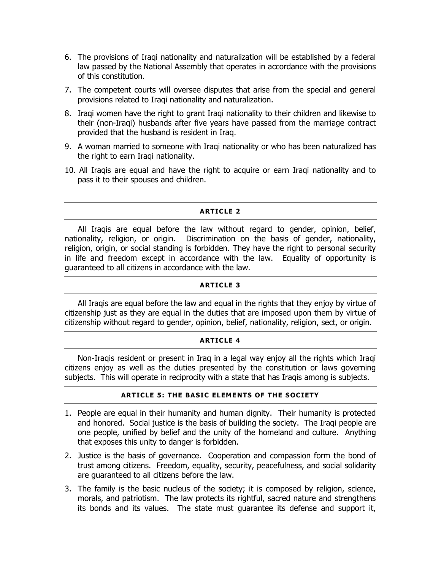- 6. The provisions of Iraqi nationality and naturalization will be established by a federal law passed by the National Assembly that operates in accordance with the provisions of this constitution.
- 7. The competent courts will oversee disputes that arise from the special and general provisions related to Iraqi nationality and naturalization.
- 8. Iraqi women have the right to grant Iraqi nationality to their children and likewise to their (non-Iraqi) husbands after five years have passed from the marriage contract provided that the husband is resident in Iraq.
- 9. A woman married to someone with Iraqi nationality or who has been naturalized has the right to earn Iraqi nationality.
- 10. All Iraqis are equal and have the right to acquire or earn Iraqi nationality and to pass it to their spouses and children.

# **ARTICLE 2**

All Iraqis are equal before the law without regard to gender, opinion, belief, nationality, religion, or origin. Discrimination on the basis of gender, nationality, religion, origin, or social standing is forbidden. They have the right to personal security in life and freedom except in accordance with the law. Equality of opportunity is guaranteed to all citizens in accordance with the law.

# **ARTICLE 3**

All Iraqis are equal before the law and equal in the rights that they enjoy by virtue of citizenship just as they are equal in the duties that are imposed upon them by virtue of citizenship without regard to gender, opinion, belief, nationality, religion, sect, or origin.

# **ARTICLE 4**

Non-Iraqis resident or present in Iraq in a legal way enjoy all the rights which Iraqi citizens enjoy as well as the duties presented by the constitution or laws governing subjects. This will operate in reciprocity with a state that has Iraqis among is subjects.

# **ARTICLE 5: THE BASIC ELEMENTS OF THE SOCIETY**

- 1. People are equal in their humanity and human dignity. Their humanity is protected and honored. Social justice is the basis of building the society. The Iraqi people are one people, unified by belief and the unity of the homeland and culture. Anything that exposes this unity to danger is forbidden.
- 2. Justice is the basis of governance. Cooperation and compassion form the bond of trust among citizens. Freedom, equality, security, peacefulness, and social solidarity are guaranteed to all citizens before the law.
- 3. The family is the basic nucleus of the society; it is composed by religion, science, morals, and patriotism. The law protects its rightful, sacred nature and strengthens its bonds and its values. The state must guarantee its defense and support it,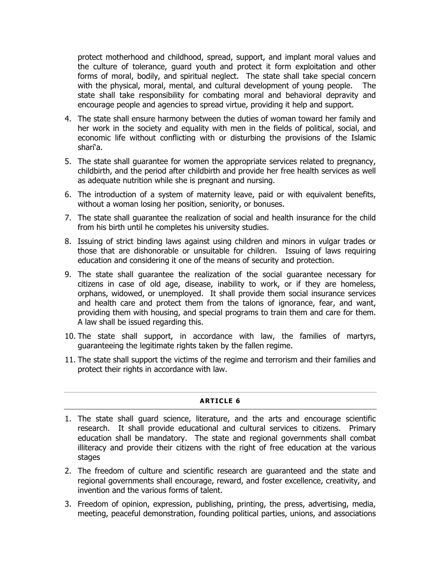protect motherhood and childhood, spread, support, and implant moral values and the culture of tolerance, guard youth and protect it form exploitation and other forms of moral, bodily, and spiritual neglect. The state shall take special concern with the physical, moral, mental, and cultural development of young people. state shall take responsibility for combating moral and behavioral depravity and encourage people and agencies to spread virtue, providing it help and support.

- 4. The state shall ensure harmony between the duties of woman toward her family and her work in the society and equality with men in the fields of political, social, and economic life without conflicting with or disturbing the provisions of the Islamic shari'a.
- 5. The state shall guarantee for women the appropriate services related to pregnancy, childbirth, and the period after childbirth and provide her free health services as well as adequate nutrition while she is pregnant and nursing.
- 6. The introduction of a system of maternity leave, paid or with equivalent benefits, without a woman losing her position, seniority, or bonuses.
- 7. The state shall guarantee the realization of social and health insurance for the child from his birth until he completes his university studies.
- 8. Issuing of strict binding laws against using children and minors in vulgar trades or those that are dishonorable or unsuitable for children. Issuing of laws requiring education and considering it one of the means of security and protection.
- 9. The state shall guarantee the realization of the social guarantee necessary for citizens in case of old age, disease, inability to work, or if they are homeless, orphans, widowed, or unemployed. It shall provide them social insurance services and health care and protect them from the talons of ignorance, fear, and want, providing them with housing, and special programs to train them and care for them. A law shall be issued regarding this.
- 10. The state shall support, in accordance with law, the families of martyrs, guaranteeing the legitimate rights taken by the fallen regime.
- 11. The state shall support the victims of the regime and terrorism and their families and protect their rights in accordance with law.

# **ARTICLE 6**

- 1. The state shall guard science, literature, and the arts and encourage scientific research. It shall provide educational and cultural services to citizens. Primary education shall be mandatory. The state and regional governments shall combat illiteracy and provide their citizens with the right of free education at the various stages
- 2. The freedom of culture and scientific research are guaranteed and the state and regional governments shall encourage, reward, and foster excellence, creativity, and invention and the various forms of talent.
- 3. Freedom of opinion, expression, publishing, printing, the press, advertising, media, meeting, peaceful demonstration, founding political parties, unions, and associations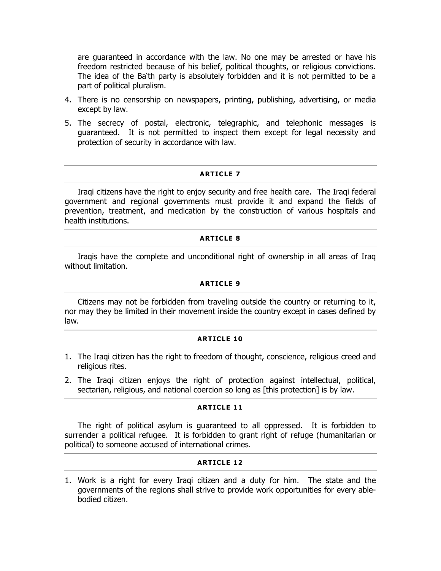are guaranteed in accordance with the law. No one may be arrested or have his freedom restricted because of his belief, political thoughts, or religious convictions. The idea of the Ba'th party is absolutely forbidden and it is not permitted to be a part of political pluralism.

- 4. There is no censorship on newspapers, printing, publishing, advertising, or media except by law.
- 5. The secrecy of postal, electronic, telegraphic, and telephonic messages is guaranteed. It is not permitted to inspect them except for legal necessity and protection of security in accordance with law.

# **ARTICLE 7**

Iraqi citizens have the right to enjoy security and free health care. The Iraqi federal government and regional governments must provide it and expand the fields of prevention, treatment, and medication by the construction of various hospitals and health institutions.

# **ARTICLE 8**

Iraqis have the complete and unconditional right of ownership in all areas of Iraq without limitation.

# **ARTICLE 9**

Citizens may not be forbidden from traveling outside the country or returning to it, nor may they be limited in their movement inside the country except in cases defined by law.

## **ARTICLE 10**

- 1. The Iraqi citizen has the right to freedom of thought, conscience, religious creed and religious rites.
- 2. The Iraqi citizen enjoys the right of protection against intellectual, political, sectarian, religious, and national coercion so long as [this protection] is by law.

## **ARTICLE 11**

The right of political asylum is guaranteed to all oppressed. It is forbidden to surrender a political refugee. It is forbidden to grant right of refuge (humanitarian or political) to someone accused of international crimes.

# **ARTICLE 12**

1. Work is a right for every Iraqi citizen and a duty for him. The state and the governments of the regions shall strive to provide work opportunities for every ablebodied citizen.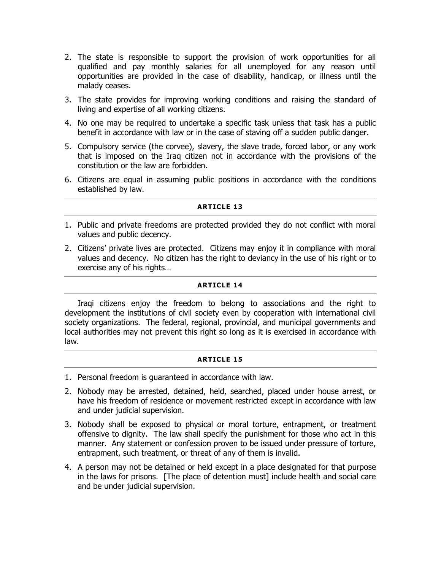- 2. The state is responsible to support the provision of work opportunities for all qualified and pay monthly salaries for all unemployed for any reason until opportunities are provided in the case of disability, handicap, or illness until the malady ceases.
- 3. The state provides for improving working conditions and raising the standard of living and expertise of all working citizens.
- 4. No one may be required to undertake a specific task unless that task has a public benefit in accordance with law or in the case of staving off a sudden public danger.
- 5. Compulsory service (the corvee), slavery, the slave trade, forced labor, or any work that is imposed on the Iraq citizen not in accordance with the provisions of the constitution or the law are forbidden.
- 6. Citizens are equal in assuming public positions in accordance with the conditions established by law.

# **ARTICLE 13**

- 1. Public and private freedoms are protected provided they do not conflict with moral values and public decency.
- 2. Citizens' private lives are protected. Citizens may enjoy it in compliance with moral values and decency. No citizen has the right to deviancy in the use of his right or to exercise any of his rights…

# **ARTICLE 14**

Iraqi citizens enjoy the freedom to belong to associations and the right to development the institutions of civil society even by cooperation with international civil society organizations. The federal, regional, provincial, and municipal governments and local authorities may not prevent this right so long as it is exercised in accordance with law.

# **ARTICLE 15**

- 1. Personal freedom is guaranteed in accordance with law.
- 2. Nobody may be arrested, detained, held, searched, placed under house arrest, or have his freedom of residence or movement restricted except in accordance with law and under judicial supervision.
- 3. Nobody shall be exposed to physical or moral torture, entrapment, or treatment offensive to dignity. The law shall specify the punishment for those who act in this manner. Any statement or confession proven to be issued under pressure of torture, entrapment, such treatment, or threat of any of them is invalid.
- 4. A person may not be detained or held except in a place designated for that purpose in the laws for prisons. [The place of detention must] include health and social care and be under judicial supervision.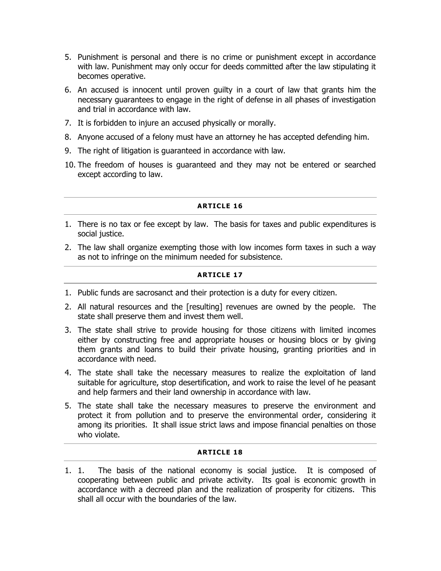- 5. Punishment is personal and there is no crime or punishment except in accordance with law. Punishment may only occur for deeds committed after the law stipulating it becomes operative.
- 6. An accused is innocent until proven guilty in a court of law that grants him the necessary guarantees to engage in the right of defense in all phases of investigation and trial in accordance with law.
- 7. It is forbidden to injure an accused physically or morally.
- 8. Anyone accused of a felony must have an attorney he has accepted defending him.
- 9. The right of litigation is guaranteed in accordance with law.
- 10. The freedom of houses is guaranteed and they may not be entered or searched except according to law.

# **ARTICLE 16**

- 1. There is no tax or fee except by law. The basis for taxes and public expenditures is social justice.
- 2. The law shall organize exempting those with low incomes form taxes in such a way as not to infringe on the minimum needed for subsistence.

# **ARTICLE 17**

- 1. Public funds are sacrosanct and their protection is a duty for every citizen.
- 2. All natural resources and the [resulting] revenues are owned by the people. The state shall preserve them and invest them well.
- 3. The state shall strive to provide housing for those citizens with limited incomes either by constructing free and appropriate houses or housing blocs or by giving them grants and loans to build their private housing, granting priorities and in accordance with need.
- 4. The state shall take the necessary measures to realize the exploitation of land suitable for agriculture, stop desertification, and work to raise the level of he peasant and help farmers and their land ownership in accordance with law.
- 5. The state shall take the necessary measures to preserve the environment and protect it from pollution and to preserve the environmental order, considering it among its priorities. It shall issue strict laws and impose financial penalties on those who violate.

# **ARTICLE 18**

1. 1. The basis of the national economy is social justice. It is composed of cooperating between public and private activity. Its goal is economic growth in accordance with a decreed plan and the realization of prosperity for citizens. This shall all occur with the boundaries of the law.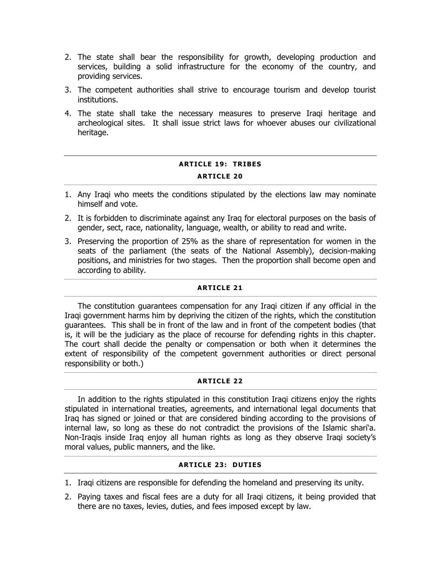- 2. The state shall bear the responsibility for growth, developing production and services, building a solid infrastructure for the economy of the country, and providing services.
- 3. The competent authorities shall strive to encourage tourism and develop tourist institutions.
- 4. The state shall take the necessary measures to preserve Iraqi heritage and archeological sites. It shall issue strict laws for whoever abuses our civilizational heritage.

# **ARTICLE 19: TRIBES ARTICLE 20**

- 1. Any Iraqi who meets the conditions stipulated by the elections law may nominate himself and vote.
- 2. It is forbidden to discriminate against any Iraq for electoral purposes on the basis of gender, sect, race, nationality, language, wealth, or ability to read and write.
- 3. Preserving the proportion of 25% as the share of representation for women in the seats of the parliament (the seats of the National Assembly), decision-making positions, and ministries for two stages. Then the proportion shall become open and according to ability.

# **ARTICLE 21**

The constitution guarantees compensation for any Iraqi citizen if any official in the Iraqi government harms him by depriving the citizen of the rights, which the constitution guarantees. This shall be in front of the law and in front of the competent bodies (that is, it will be the judiciary as the place of recourse for defending rights in this chapter. The court shall decide the penalty or compensation or both when it determines the extent of responsibility of the competent government authorities or direct personal responsibility or both.)

# **ARTICLE 22**

In addition to the rights stipulated in this constitution Iraqi citizens enjoy the rights stipulated in international treaties, agreements, and international legal documents that Iraq has signed or joined or that are considered binding according to the provisions of internal law, so long as these do not contradict the provisions of the Islamic shari'a. Non-Iraqis inside Iraq enjoy all human rights as long as they observe Iraqi society's moral values, public manners, and the like.

# **ARTICLE 23: DUTIES**

- 1. Iraqi citizens are responsible for defending the homeland and preserving its unity.
- 2. Paying taxes and fiscal fees are a duty for all Iraqi citizens, it being provided that there are no taxes, levies, duties, and fees imposed except by law.